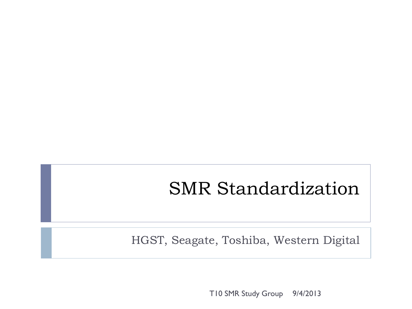# SMR Standardization

HGST, Seagate, Toshiba, Western Digital

T10 SMR Study Group 9/4/2013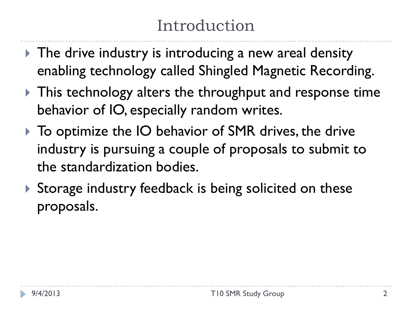# Introduction

- Intimepolymic The drive industry is introducing a new areal density enabling technology called Shingled Magnetic Recording.
- ▶ This technology alters the throughput and response time behavior of IO, especially random writes.
- ▶ To optimize the IO behavior of SMR drives, the drive industry is pursuing a couple of proposals to submit to the standardization bodies.
- Storage industry feedback is being solicited on these proposals.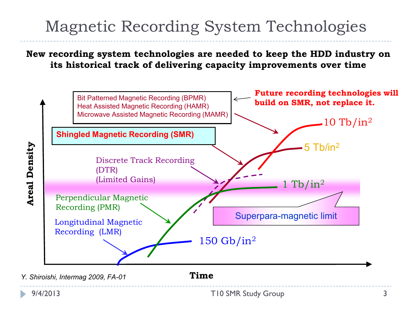## Magnetic Recording System Technologies

**New recording system technologies are needed to keep the HDD industry on its historical track of delivering capacity improvements over time**



*Y. Shiroishi, Intermag 2009, FA-01*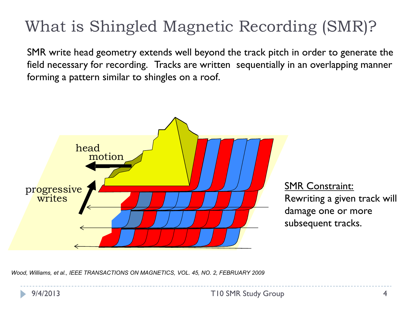# What is Shingled Magnetic Recording (SMR)?

SMR write head geometry extends well beyond the track pitch in order to generate the field necessary for recording. Tracks are written sequentially in an overlapping manner forming a pattern similar to shingles on a roof.



SMR Constraint: Rewriting a given track will damage one or more subsequent tracks.

*Wood, Williams, et al., IEEE TRANSACTIONS ON MAGNETICS, VOL. 45, NO. 2, FEBRUARY 2009*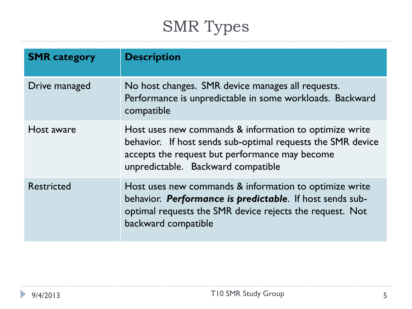# SMR Types

| <b>SMR</b> category | <b>Description</b>                                                                                                                                                                                            |
|---------------------|---------------------------------------------------------------------------------------------------------------------------------------------------------------------------------------------------------------|
| Drive managed       | No host changes. SMR device manages all requests.<br>Performance is unpredictable in some workloads. Backward<br>compatible                                                                                   |
| Host aware          | Host uses new commands & information to optimize write<br>behavior. If host sends sub-optimal requests the SMR device<br>accepts the request but performance may become<br>unpredictable. Backward compatible |
| <b>Restricted</b>   | Host uses new commands & information to optimize write<br>behavior. Performance is predictable. If host sends sub-<br>optimal requests the SMR device rejects the request. Not<br>backward compatible         |



 $\blacktriangleright$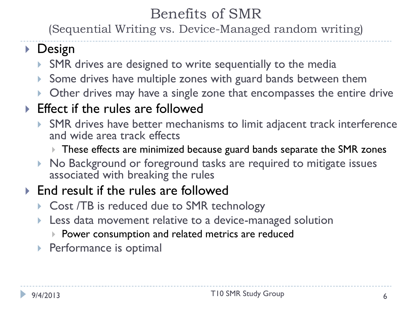#### Benefits of SMR

(Sequential Writing vs. Device-Managed random writing)

#### ▶ Design

- SMR drives are designed to write sequentially to the media
- Some drives have multiple zones with guard bands between them
- **Other drives may have a single zone that encompasses the entire drive**

#### ▶ Effect if the rules are followed

- SMR drives have better mechanisms to limit adjacent track interference and wide area track effects
	- These effects are minimized because guard bands separate the SMR zones
- ▶ No Background or foreground tasks are required to mitigate issues associated with breaking the rules

#### ▶ End result if the rules are followed

- ▶ Cost /TB is reduced due to SMR technology
- **Less data movement relative to a device-managed solution** 
	- **Power consumption and related metrics are reduced**
- **Performance is optimal**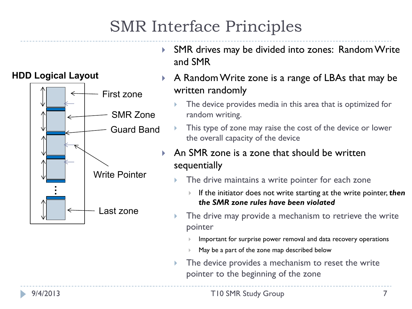## SMR Interface Principles



- ▶ SMR drives may be divided into zones: Random Write and SMR
- A Random Write zone is a range of LBAs that may be written randomly
	- The device provides media in this area that is optimized for random writing.
	- This type of zone may raise the cost of the device or lower the overall capacity of the device
- An SMR zone is a zone that should be written sequentially
	- The drive maintains a write pointer for each zone
		- If the initiator does not write starting at the write pointer, **then** *the SMR zone rules have been violated*
	- The drive may provide a mechanism to retrieve the write pointer
		- Important for surprise power removal and data recovery operations
		- May be a part of the zone map described below
	- $\triangleright$  The device provides a mechanism to reset the write pointer to the beginning of the zone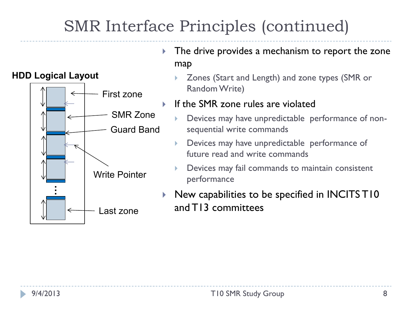## SMR Interface Principles (continued)



- The drive provides a mechanism to report the zone map
	- Zones (Start and Length) and zone types (SMR or Random Write)
- If the SMR zone rules are violated
	- Devices may have unpredictable performance of nonsequential write commands
	- Devices may have unpredictable performance of future read and write commands
	- Devices may fail commands to maintain consistent performance
- New capabilities to be specified in INCITS T10 and T13 committees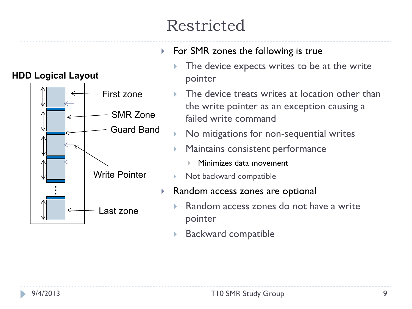# Restricted



- ▶ For SMR zones the following is true
	- The device expects writes to be at the write pointer
	- The device treats writes at location other than the write pointer as an exception causing a failed write command
	- No mitigations for non-sequential writes
	- Maintains consistent performance
		- Minimizes data movement
	- Not backward compatible
- ▶ Random access zones are optional
	- Random access zones do not have a write pointer
	- ▶ Backward compatible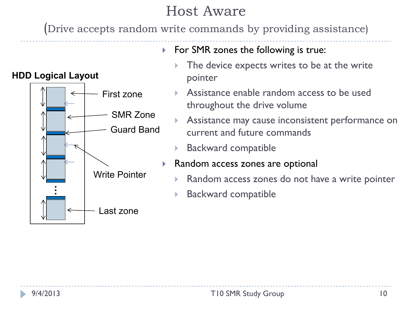#### Host Aware

(Drive accepts random write commands by providing assistance)



- $\triangleright$  For SMR zones the following is true:
	- The device expects writes to be at the write pointer
	- Assistance enable random access to be used throughout the drive volume
	- Assistance may cause inconsistent performance on current and future commands
	- Backward compatible
- ▶ Random access zones are optional
	- Random access zones do not have a write pointer
	- Backward compatible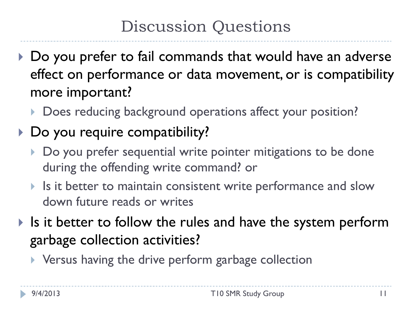### Discussion Questions

- ▶ Do you prefer to fail commands that would have an adverse effect on performance or data movement, or is compatibility more important?
	- Does reducing background operations affect your position?

### ▶ Do you require compatibility?

- Do you prefer sequential write pointer mitigations to be done during the offending write command? or
- If Is it better to maintain consistent write performance and slow down future reads or writes
- If Is it better to follow the rules and have the system perform garbage collection activities?
	- ▶ Versus having the drive perform garbage collection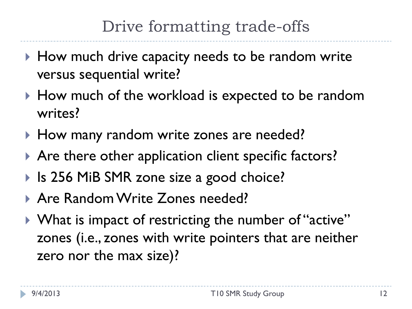### Drive formatting trade-offs

- ▶ How much drive capacity needs to be random write versus sequential write?
- ▶ How much of the workload is expected to be random writes?
- ▶ How many random write zones are needed?
- ▶ Are there other application client specific factors?
- ▶ Is 256 MiB SMR zone size a good choice?
- Are Random Write Zones needed?
- ▶ What is impact of restricting the number of "active" zones (i.e., zones with write pointers that are neither zero nor the max size)?